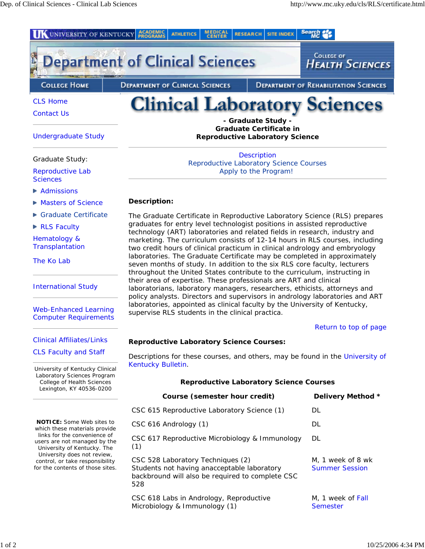

**Transplantation** 

The Ko Lab

International Study

Web-Enhanced Learning Computer Requirements

Clinical Affiliates/Links

CLS Faculty and Staff

University of Kentucky Clinical Laboratory Sciences Program College of Health Sciences Lexington, KY 40536-0200

**NOTICE:** Some Web sites to which these materials provide links for the convenience of users are not managed by the University of Kentucky. The University does not review, control, or take responsibility for the contents of those sites.

marketing. The curriculum consists of 12-14 hours in RLS courses, including two credit hours of clinical practicum in clinical andrology and embryology laboratories. The Graduate Certificate may be completed in approximately seven months of study. In addition to the six RLS core faculty, lecturers throughout the United States contribute to the curriculum, instructing in their area of expertise. These professionals are ART and clinical laboratorians, laboratory managers, researchers, ethicists, attorneys and policy analysts. Directors and supervisors in andrology laboratories and ART laboratories, appointed as clinical faculty by the University of Kentucky, supervise RLS students in the clinical practica.

Return to top of page

# **Reproductive Laboratory Science Courses:**

Descriptions for these courses, and others, may be found in the University of Kentucky Bulletin.

| <b>Reproductive Laboratory Science Courses</b>                                                                                              |                                            |  |
|---------------------------------------------------------------------------------------------------------------------------------------------|--------------------------------------------|--|
| Course (semester hour credit)                                                                                                               | Delivery Method *                          |  |
| CSC 615 Reproductive Laboratory Science (1)                                                                                                 | DL.                                        |  |
| CSC 616 Andrology (1)                                                                                                                       | DL.                                        |  |
| CSC 617 Reproductive Microbiology & Immunology<br>(1)                                                                                       | DL.                                        |  |
| CSC 528 Laboratory Techniques (2)<br>Students not having anacceptable laboratory<br>backbround will also be required to complete CSC<br>528 | M, 1 week of 8 wk<br><b>Summer Session</b> |  |
| CSC 618 Labs in Andrology, Reproductive<br>Microbiology & Immunology (1)                                                                    | M, 1 week of Fall<br>Semester              |  |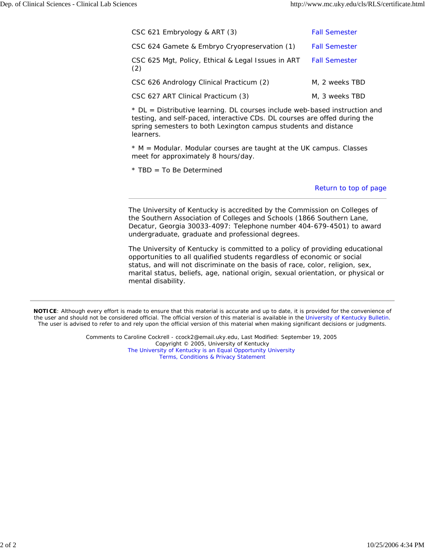| CSC 621 Embryology & ART (3)                              | <b>Fall Semester</b> |
|-----------------------------------------------------------|----------------------|
| CSC 624 Gamete & Embryo Cryopreservation (1)              | <b>Fall Semester</b> |
| CSC 625 Mgt, Policy, Ethical & Legal Issues in ART<br>(2) | <b>Fall Semester</b> |
| CSC 626 Andrology Clinical Practicum (2)                  | M. 2 weeks TBD       |
| CSC 627 ART Clinical Practicum (3)                        | M. 3 weeks TBD       |

\* DL = Distributive learning. DL courses include web-based instruction and testing, and self-paced, interactive CDs. DL courses are offed during the spring semesters to both Lexington campus students and distance learners.

 $*$  M = Modular. Modular courses are taught at the UK campus. Classes meet for approximately 8 hours/day.

\* TBD = To Be Determined

Return to top of page

The University of Kentucky is accredited by the Commission on Colleges of the Southern Association of Colleges and Schools (1866 Southern Lane, Decatur, Georgia 30033-4097: Telephone number 404-679-4501) to award undergraduate, graduate and professional degrees.

The University of Kentucky is committed to a policy of providing educational opportunities to all qualified students regardless of economic or social status, and will not discriminate on the basis of race, color, religion, sex, marital status, beliefs, age, national origin, sexual orientation, or physical or mental disability.

**NOTICE**: Although every effort is made to ensure that this material is accurate and up to date, it is provided for the convenience of the user and should not be considered official. The official version of this material is available in the University of Kentucky Bulletin. The user is advised to refer to and rely upon the official version of this material when making significant decisions or judgments.

> Comments to Caroline Cockrell - ccock2@email.uky.edu, Last Modified: September 19, 2005 Copyright © 2005, University of Kentucky The University of Kentucky is an Equal Opportunity University Terms, Conditions & Privacy Statement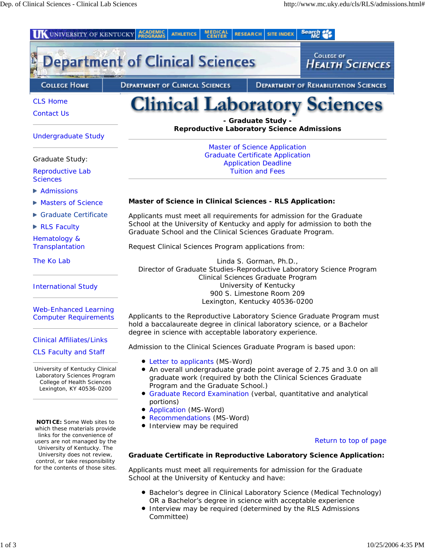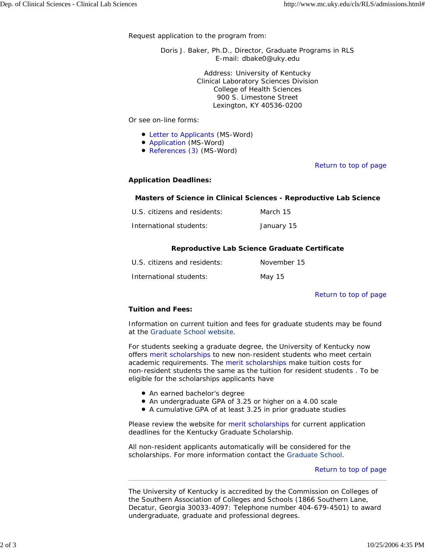Request application to the program from:

Doris J. Baker, Ph.D., Director, Graduate Programs in RLS E-mail: dbake0@uky.edu

> Address: University of Kentucky Clinical Laboratory Sciences Division College of Health Sciences 900 S. Limestone Street Lexington, KY 40536-0200

Or see on-line forms:

- Letter to Applicants (MS-Word)
- Application (MS-Word)
- References (3) (MS-Word)

## Return to top of page

## **Application Deadlines:**

### **Masters of Science in Clinical Sciences - Reproductive Lab Science**

| U.S. citizens and residents: | March 15   |
|------------------------------|------------|
| International students:      | January 15 |

## **Reproductive Lab Science Graduate Certificate**

| U.S. citizens and residents: | November 15 |
|------------------------------|-------------|
| International students:      | May 15      |

### Return to top of page

# **Tuition and Fees:**

Information on current tuition and fees for graduate students may be found at the Graduate School website.

For students seeking a graduate degree, the University of Kentucky now offers merit scholarships to new non-resident students who meet certain academic requirements. The merit scholarships make tuition costs for non-resident students the same as the tuition for resident students . To be eligible for the scholarships applicants have

- An earned bachelor's degree
- An undergraduate GPA of 3.25 or higher on a 4.00 scale
- A cumulative GPA of at least 3.25 in prior graduate studies

Please review the website for merit scholarships for current application deadlines for the Kentucky Graduate Scholarship.

All non-resident applicants automatically will be considered for the scholarships. For more information contact the Graduate School.

### Return to top of page

The University of Kentucky is accredited by the Commission on Colleges of the Southern Association of Colleges and Schools (1866 Southern Lane, Decatur, Georgia 30033-4097: Telephone number 404-679-4501) to award undergraduate, graduate and professional degrees.